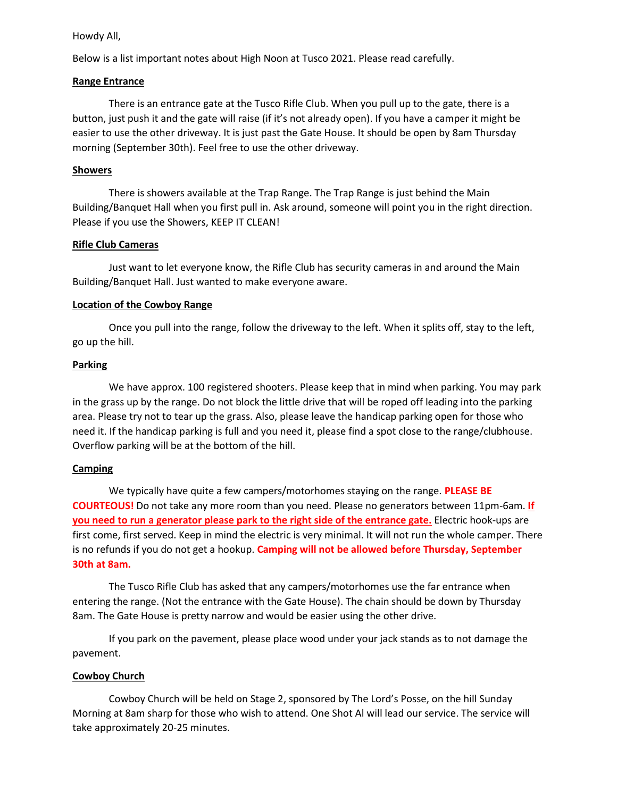### Howdy All,

Below is a list important notes about High Noon at Tusco 2021. Please read carefully.

### **Range Entrance**

There is an entrance gate at the Tusco Rifle Club. When you pull up to the gate, there is a button, just push it and the gate will raise (if it's not already open). If you have a camper it might be easier to use the other driveway. It is just past the Gate House. It should be open by 8am Thursday morning (September 30th). Feel free to use the other driveway.

### **Showers**

There is showers available at the Trap Range. The Trap Range is just behind the Main Building/Banquet Hall when you first pull in. Ask around, someone will point you in the right direction. Please if you use the Showers, KEEP IT CLEAN!

### **Rifle Club Cameras**

Just want to let everyone know, the Rifle Club has security cameras in and around the Main Building/Banquet Hall. Just wanted to make everyone aware.

# **Location of the Cowboy Range**

Once you pull into the range, follow the driveway to the left. When it splits off, stay to the left, go up the hill.

### **Parking**

We have approx. 100 registered shooters. Please keep that in mind when parking. You may park in the grass up by the range. Do not block the little drive that will be roped off leading into the parking area. Please try not to tear up the grass. Also, please leave the handicap parking open for those who need it. If the handicap parking is full and you need it, please find a spot close to the range/clubhouse. Overflow parking will be at the bottom of the hill.

# **Camping**

We typically have quite a few campers/motorhomes staying on the range. **PLEASE BE COURTEOUS!** Do not take any more room than you need. Please no generators between 11pm-6am. **If you need to run a generator please park to the right side of the entrance gate.** Electric hook-ups are first come, first served. Keep in mind the electric is very minimal. It will not run the whole camper. There is no refunds if you do not get a hookup. **Camping will not be allowed before Thursday, September 30th at 8am.**

The Tusco Rifle Club has asked that any campers/motorhomes use the far entrance when entering the range. (Not the entrance with the Gate House). The chain should be down by Thursday 8am. The Gate House is pretty narrow and would be easier using the other drive.

If you park on the pavement, please place wood under your jack stands as to not damage the pavement.

# **Cowboy Church**

Cowboy Church will be held on Stage 2, sponsored by The Lord's Posse, on the hill Sunday Morning at 8am sharp for those who wish to attend. One Shot Al will lead our service. The service will take approximately 20-25 minutes.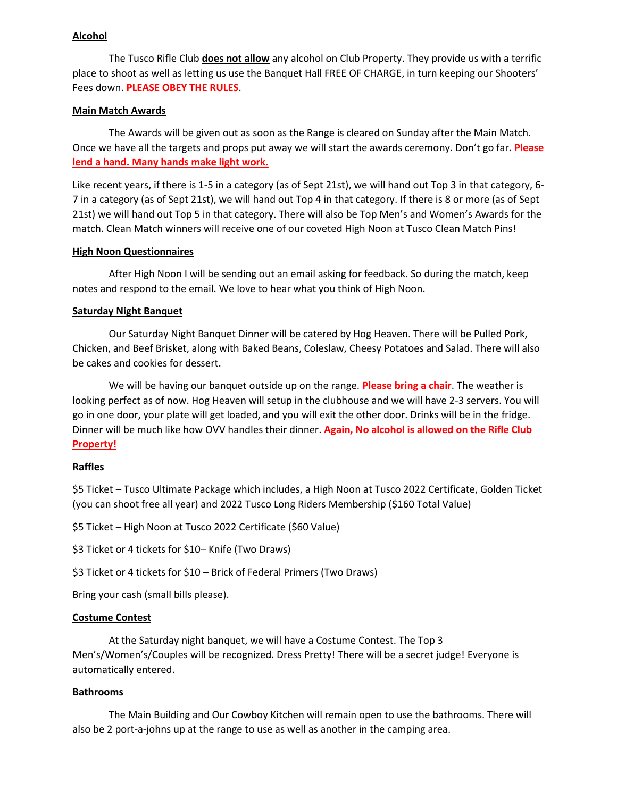# **Alcohol**

The Tusco Rifle Club **does not allow** any alcohol on Club Property. They provide us with a terrific place to shoot as well as letting us use the Banquet Hall FREE OF CHARGE, in turn keeping our Shooters' Fees down. **PLEASE OBEY THE RULES**.

## **Main Match Awards**

The Awards will be given out as soon as the Range is cleared on Sunday after the Main Match. Once we have all the targets and props put away we will start the awards ceremony. Don't go far. **Please lend a hand. Many hands make light work.** 

Like recent years, if there is 1-5 in a category (as of Sept 21st), we will hand out Top 3 in that category, 6- 7 in a category (as of Sept 21st), we will hand out Top 4 in that category. If there is 8 or more (as of Sept 21st) we will hand out Top 5 in that category. There will also be Top Men's and Women's Awards for the match. Clean Match winners will receive one of our coveted High Noon at Tusco Clean Match Pins!

#### **High Noon Questionnaires**

After High Noon I will be sending out an email asking for feedback. So during the match, keep notes and respond to the email. We love to hear what you think of High Noon.

### **Saturday Night Banquet**

Our Saturday Night Banquet Dinner will be catered by Hog Heaven. There will be Pulled Pork, Chicken, and Beef Brisket, along with Baked Beans, Coleslaw, Cheesy Potatoes and Salad. There will also be cakes and cookies for dessert.

We will be having our banquet outside up on the range. **Please bring a chair**. The weather is looking perfect as of now. Hog Heaven will setup in the clubhouse and we will have 2-3 servers. You will go in one door, your plate will get loaded, and you will exit the other door. Drinks will be in the fridge. Dinner will be much like how OVV handles their dinner. **Again, No alcohol is allowed on the Rifle Club Property!**

#### **Raffles**

\$5 Ticket – Tusco Ultimate Package which includes, a High Noon at Tusco 2022 Certificate, Golden Ticket (you can shoot free all year) and 2022 Tusco Long Riders Membership (\$160 Total Value)

\$5 Ticket – High Noon at Tusco 2022 Certificate (\$60 Value)

\$3 Ticket or 4 tickets for \$10– Knife (Two Draws)

\$3 Ticket or 4 tickets for \$10 – Brick of Federal Primers (Two Draws)

Bring your cash (small bills please).

# **Costume Contest**

At the Saturday night banquet, we will have a Costume Contest. The Top 3 Men's/Women's/Couples will be recognized. Dress Pretty! There will be a secret judge! Everyone is automatically entered.

#### **Bathrooms**

The Main Building and Our Cowboy Kitchen will remain open to use the bathrooms. There will also be 2 port-a-johns up at the range to use as well as another in the camping area.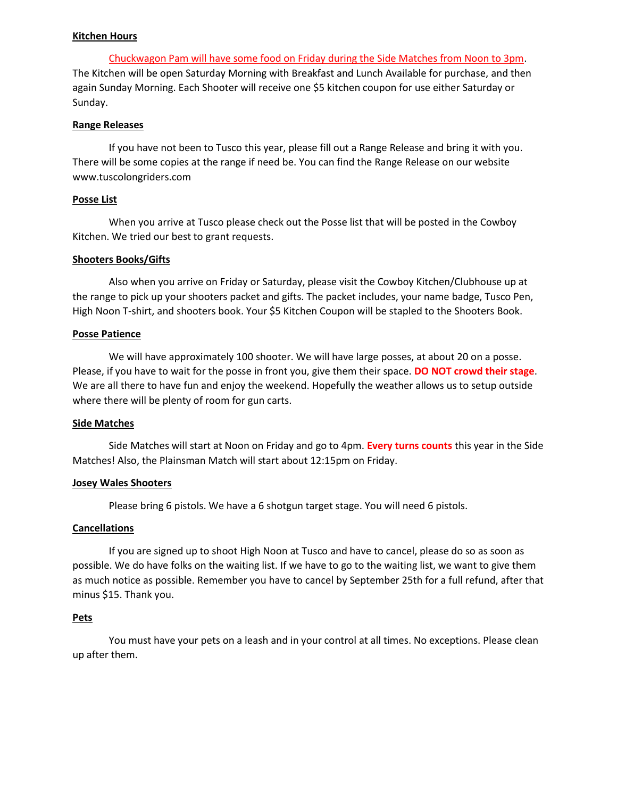#### **Kitchen Hours**

Chuckwagon Pam will have some food on Friday during the Side Matches from Noon to 3pm. The Kitchen will be open Saturday Morning with Breakfast and Lunch Available for purchase, and then again Sunday Morning. Each Shooter will receive one \$5 kitchen coupon for use either Saturday or Sunday.

## **Range Releases**

If you have not been to Tusco this year, please fill out a Range Release and bring it with you. There will be some copies at the range if need be. You can find the Range Release on our website www.tuscolongriders.com

### **Posse List**

When you arrive at Tusco please check out the Posse list that will be posted in the Cowboy Kitchen. We tried our best to grant requests.

### **Shooters Books/Gifts**

Also when you arrive on Friday or Saturday, please visit the Cowboy Kitchen/Clubhouse up at the range to pick up your shooters packet and gifts. The packet includes, your name badge, Tusco Pen, High Noon T-shirt, and shooters book. Your \$5 Kitchen Coupon will be stapled to the Shooters Book.

### **Posse Patience**

We will have approximately 100 shooter. We will have large posses, at about 20 on a posse. Please, if you have to wait for the posse in front you, give them their space. **DO NOT crowd their stage**. We are all there to have fun and enjoy the weekend. Hopefully the weather allows us to setup outside where there will be plenty of room for gun carts.

#### **Side Matches**

Side Matches will start at Noon on Friday and go to 4pm. **Every turns counts** this year in the Side Matches! Also, the Plainsman Match will start about 12:15pm on Friday.

# **Josey Wales Shooters**

Please bring 6 pistols. We have a 6 shotgun target stage. You will need 6 pistols.

#### **Cancellations**

If you are signed up to shoot High Noon at Tusco and have to cancel, please do so as soon as possible. We do have folks on the waiting list. If we have to go to the waiting list, we want to give them as much notice as possible. Remember you have to cancel by September 25th for a full refund, after that minus \$15. Thank you.

# **Pets**

You must have your pets on a leash and in your control at all times. No exceptions. Please clean up after them.